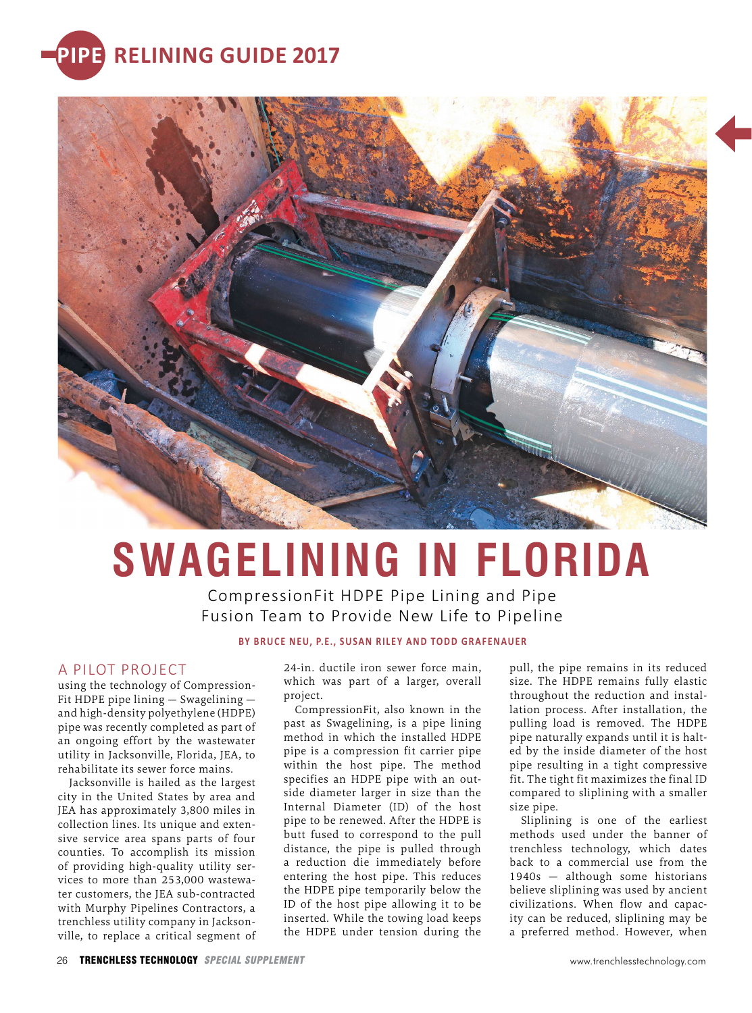



## **SWAGELINING IN FLORIDA**

CompressionFit HDPE Pipe Lining and Pipe Fusion Team to Provide New Life to Pipeline

**BY BRUCE NEU, P.E., SUSAN RILEY AND TODD GRAFENAUER** 

## A PILOT PROJECT

using the technology of Compression-Fit HDPE pipe lining — Swagelining and high-density polyethylene (HDPE) pipe was recently completed as part of an ongoing effort by the wastewater utility in Jacksonville, Florida, JEA, to rehabilitate its sewer force mains.

Jacksonville is hailed as the largest city in the United States by area and JEA has approximately 3,800 miles in collection lines. Its unique and extensive service area spans parts of four counties. To accomplish its mission of providing high-quality utility services to more than 253,000 wastewater customers, the JEA sub-contracted with Murphy Pipelines Contractors, a trenchless utility company in Jacksonville, to replace a critical segment of

24-in. ductile iron sewer force main, which was part of a larger, overall project.

CompressionFit, also known in the past as Swagelining, is a pipe lining method in which the installed HDPE pipe is a compression fit carrier pipe within the host pipe. The method specifies an HDPE pipe with an outside diameter larger in size than the Internal Diameter (ID) of the host pipe to be renewed. After the HDPE is butt fused to correspond to the pull distance, the pipe is pulled through a reduction die immediately before entering the host pipe. This reduces the HDPE pipe temporarily below the ID of the host pipe allowing it to be inserted. While the towing load keeps the HDPE under tension during the

pull, the pipe remains in its reduced size. The HDPE remains fully elastic throughout the reduction and installation process. After installation, the pulling load is removed. The HDPE pipe naturally expands until it is halted by the inside diameter of the host pipe resulting in a tight compressive fit. The tight fit maximizes the final ID compared to sliplining with a smaller size pipe.

Sliplining is one of the earliest methods used under the banner of trenchless technology, which dates back to a commercial use from the 1940s — although some historians believe sliplining was used by ancient civilizations. When flow and capacity can be reduced, sliplining may be a preferred method. However, when